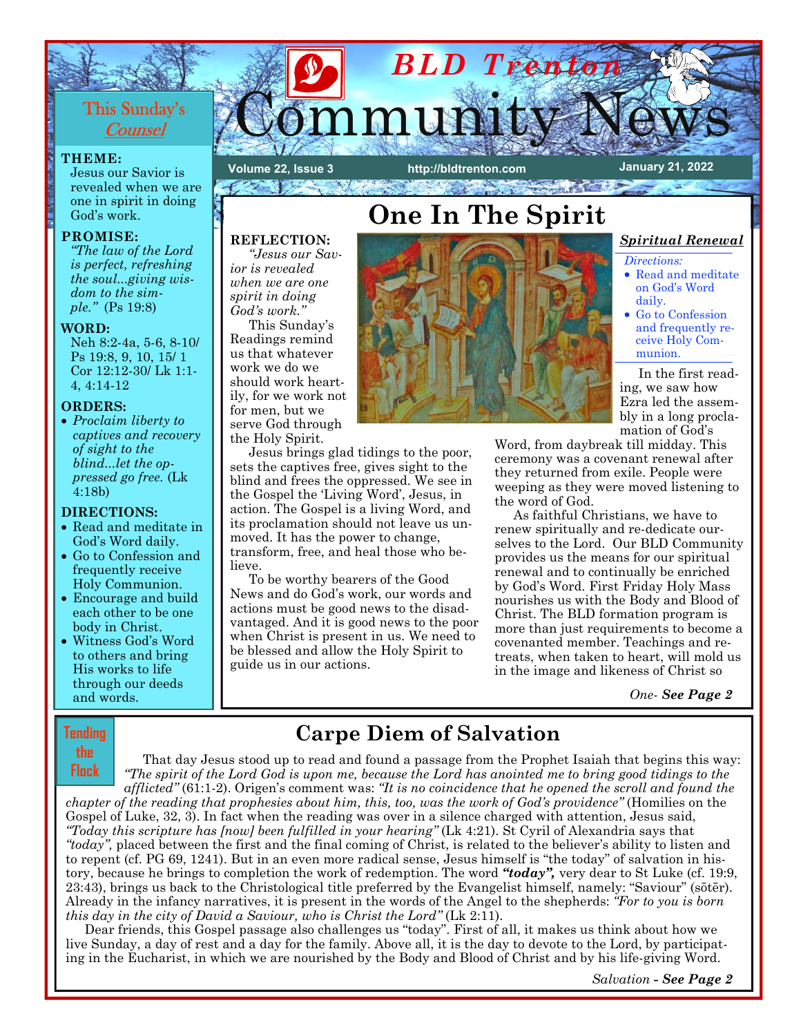# This Sunday's **Counsel**

### **THEME:**

Jesus our Savior is revealed when we are one in spirit in doing God's work.

### **PROMISE:**

*"The law of the Lord is perfect, refreshing the soul...giving wisdom to the simple."* (Ps 19:8)

#### **WORD:**

Neh 8:2-4a, 5-6, 8-10/ Ps 19:8, 9, 10, 15/ 1 Cor 12:12-30/ Lk 1:1- 4, 4:14-12

### **ORDERS:**

• *Proclaim liberty to captives and recovery of sight to the blind...let the oppressed go free.* (Lk 4:18b)

## **DIRECTIONS:**

- Read and meditate in God's Word daily.
- Go to Confession and frequently receive Holy Communion.
- Encourage and build each other to be one body in Christ.
- Witness God's Word to others and bring His works to life through our deeds and words.

## **Tending the**

# Community News **http://bldtrenton.com January 21, 2022 Volume 22, Issue 3**   $\mathcal{D}_{\mathcal{F}}$  , where  $\mathcal{F}$ **RESERVED** JESA PEGO PO

# **REFLECTION:**

*"Jesus our Savior is revealed when we are one spirit in doing God's work."*

This Sunday's Readings remind us that whatever work we do we should work heartily, for we work not for men, but we serve God through the Holy Spirit.

Jesus brings glad tidings to the poor, sets the captives free, gives sight to the blind and frees the oppressed. We see in the Gospel the 'Living Word', Jesus, in action. The Gospel is a living Word, and its proclamation should not leave us unmoved. It has the power to change, transform, free, and heal those who believe.

To be worthy bearers of the Good News and do God's work, our words and actions must be good news to the disadvantaged. And it is good news to the poor when Christ is present in us. We need to be blessed and allow the Holy Spirit to guide us in our actions.



*BLD Trenton* 

## *Spiritual Renewal*

*Directions:* 

- Read and meditate on God's Word daily.
- Go to Confession and frequently receive Holy Communion.

 In the first reading, we saw how Ezra led the assembly in a long proclamation of God's

Word, from daybreak till midday. This ceremony was a covenant renewal after they rettrned from exile. People were weeping as they were moved listening to the word of God.

As faithful Christians, we have to renew spiritually and re-dedicate ourselves to the Lord. Our BLD Community provides us the means for our spiritual renewal and to continually be enriched by God's Word. First Friday Holy Mass nourishes us with the Body and Blood of Christ. The BLD formation program is more than just requirements to become a covenanted member. Teachings and retreats, when taken to heart, will mold us in the image and likeness of Christ so

*One- See Page 2*

# **Carpe Diem of Salvation**

That day Jesus stood up to read and found a passage from the Prophet Isaiah that begins this way: *"The spirit of the Lord God is upon me, because the Lord has anointed me to bring good tidings to the afflicted"* (61:1-2). Origen's comment was: *"It is no coincidence that he opened the scroll and found the chapter of the reading that prophesies about him, this, too, was the work of God's providence"* (Homilies on the Gospel of Luke, 32, 3). In fact when the reading was over in a silence charged with attention, Jesus said, *"Today this scripture has [now] been fulfilled in your hearing"* (Lk 4:21). St Cyril of Alexandria says that *"today",* placed between the first and the final coming of Christ, is related to the believer's ability to listen and to repent (cf. PG 69, 1241). But in an even more radical sense, Jesus himself is "the today" of salvation in history, because he brings to completion the work of redemption. The word "today", very dear to St Luke (cf. 19:9, 23:43), brings ts back to the Christological title preferred by the Evangelist himself, namely: "Saviotr" (sōtēr). Already in the infancy narratives, it is present in the words of the Angel to the shepherds: *"For to you is born this day in the city of David a Saviour, who is Christ the Lord"* (Lk 2:11). **Flock** 

Dear friends, this Gospel passage also challenges us "today". First of all, it makes us think about how we live Sunday, a day of rest and a day for the family. Above all, it is the day to devote to the Lord, by participating in the Eucharist, in which we are nourished by the Body and Blood of Christ and by his life-giving Word.

 *Salvation* **-** *See Page 2*